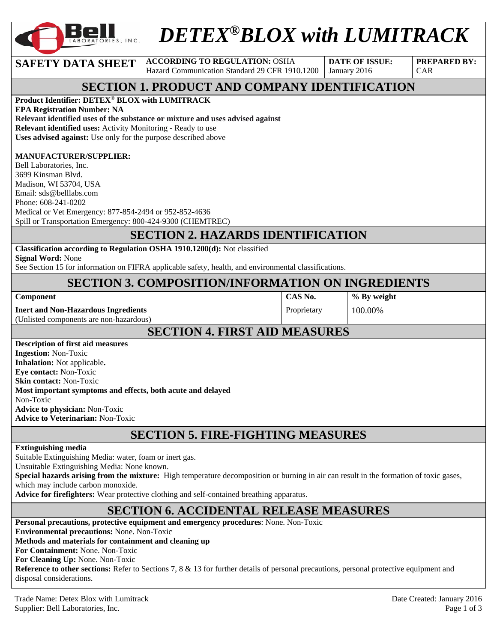

# *DETEX®BLOX with LUMITRACK*

**SAFETY DATA SHEET ACCORDING TO REGULATION: OSHA** Hazard Communication Standard 29 CFR 1910.1200

**DATE OF ISSUE:**  January 2016

**PREPARED BY:**  CAR

### **SECTION 1. PRODUCT AND COMPANY IDENTIFICATION**

**Product Identifier: DETEX**® **BLOX with LUMITRACK** 

**EPA Registration Number: NA Relevant identified uses of the substance or mixture and uses advised against Relevant identified uses:** Activity Monitoring - Ready to use **Uses advised against:** Use only for the purpose described above

#### **MANUFACTURER/SUPPLIER:**

Bell Laboratories, Inc. 3699 Kinsman Blvd. Madison, WI 53704, USA Email: sds@belllabs.com Phone: 608-241-0202 Medical or Vet Emergency: 877-854-2494 or 952-852-4636 Spill or Transportation Emergency: 800-424-9300 (CHEMTREC)

#### **SECTION 2. HAZARDS IDENTIFICATION**

**Classification according to Regulation OSHA 1910.1200(d):** Not classified

**Signal Word:** None

See Section 15 for information on FIFRA applicable safety, health, and environmental classifications.

#### **SECTION 3. COMPOSITION/INFORMATION ON INGREDIENTS**

| Component                                  | CAS No.     | % By weight |
|--------------------------------------------|-------------|-------------|
| <b>Inert and Non-Hazardous Ingredients</b> | Proprietary | 100.00%     |
| (Unlisted components are non-hazardous)    |             |             |
|                                            |             |             |

#### **SECTION 4. FIRST AID MEASURES**

### **SECTION 5. FIRE-FIGHTING MEASURES**

#### **Extinguishing media**

Suitable Extinguishing Media: water, foam or inert gas.

Unsuitable Extinguishing Media: None known.

**Special hazards arising from the mixture:** High temperature decomposition or burning in air can result in the formation of toxic gases, which may include carbon monoxide.

**Advice for firefighters:** Wear protective clothing and self-contained breathing apparatus.

#### **SECTION 6. ACCIDENTAL RELEASE MEASURES**

**Personal precautions, protective equipment and emergency procedures**: None. Non-Toxic **Environmental precautions:** None. Non-Toxic **Methods and materials for containment and cleaning up For Containment:** None. Non-Toxic **For Cleaning Up:** None. Non-Toxic **Reference to other sections:** Refer to Sections 7, 8 & 13 for further details of personal precautions, personal protective equipment and disposal considerations.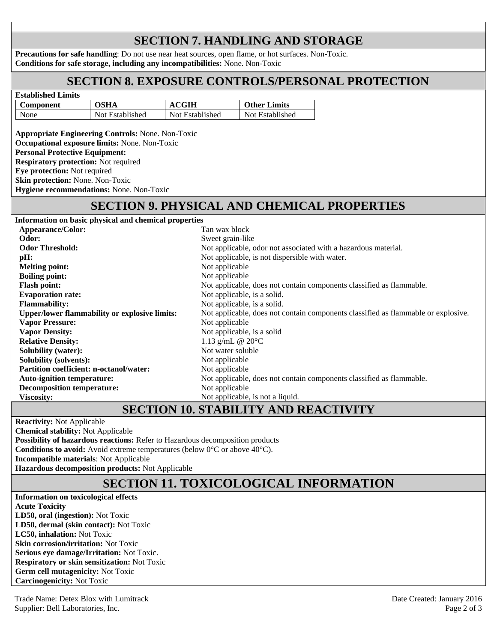# **SECTION 7. HANDLING AND STORAGE**

**Precautions for safe handling**: Do not use near heat sources, open flame, or hot surfaces. Non-Toxic. **Conditions for safe storage, including any incompatibilities:** None. Non-Toxic

#### **SECTION 8. EXPOSURE CONTROLS/PERSONAL PROTECTION**

| <b>Established Limits</b> |                 |                 |                     |
|---------------------------|-----------------|-----------------|---------------------|
| Component                 | OSHA            | <b>ACGIH</b>    | <b>Other Limits</b> |
| None                      | Not Established | Not Established | Not Established     |

**Appropriate Engineering Controls:** None. Non-Toxic **Occupational exposure limits:** None. Non-Toxic **Personal Protective Equipment: Respiratory protection:** Not required **Eye protection:** Not required **Skin protection:** None. Non-Toxic **Hygiene recommendations:** None. Non-Toxic

#### **SECTION 9. PHYSICAL AND CHEMICAL PROPERTIES**

| Information on basic physical and chemical properties |                                                                                   |
|-------------------------------------------------------|-----------------------------------------------------------------------------------|
| <b>Appearance/Color:</b>                              | Tan wax block                                                                     |
| Odor:                                                 | Sweet grain-like                                                                  |
| <b>Odor Threshold:</b>                                | Not applicable, odor not associated with a hazardous material.                    |
| pH:                                                   | Not applicable, is not dispersible with water.                                    |
| <b>Melting point:</b>                                 | Not applicable                                                                    |
| <b>Boiling point:</b>                                 | Not applicable                                                                    |
| <b>Flash point:</b>                                   | Not applicable, does not contain components classified as flammable.              |
| <b>Evaporation rate:</b>                              | Not applicable, is a solid.                                                       |
| <b>Flammability:</b>                                  | Not applicable, is a solid.                                                       |
| <b>Upper/lower flammability or explosive limits:</b>  | Not applicable, does not contain components classified as flammable or explosive. |
| <b>Vapor Pressure:</b>                                | Not applicable                                                                    |
| <b>Vapor Density:</b>                                 | Not applicable, is a solid                                                        |
| <b>Relative Density:</b>                              | 1.13 g/mL @ $20^{\circ}$ C                                                        |
| <b>Solubility (water):</b>                            | Not water soluble                                                                 |
| <b>Solubility (solvents):</b>                         | Not applicable                                                                    |
| <b>Partition coefficient: n-octanol/water:</b>        | Not applicable                                                                    |
| <b>Auto-ignition temperature:</b>                     | Not applicable, does not contain components classified as flammable.              |
| <b>Decomposition temperature:</b>                     | Not applicable                                                                    |
| <b>Viscosity:</b>                                     | Not applicable, is not a liquid.                                                  |

#### **SECTION 10. STABILITY AND REACTIVITY**

**Reactivity:** Not Applicable **Chemical stability:** Not Applicable **Possibility of hazardous reactions:** Refer to Hazardous decomposition products **Conditions to avoid:** Avoid extreme temperatures (below 0°C or above 40°C). **Incompatible materials**: Not Applicable **Hazardous decomposition products:** Not Applicable

# **SECTION 11. TOXICOLOGICAL INFORMATION**

**Information on toxicological effects Acute Toxicity LD50, oral (ingestion):** Not Toxic **LD50, dermal (skin contact):** Not Toxic **LC50, inhalation:** Not Toxic **Skin corrosion/irritation:** Not Toxic **Serious eye damage/Irritation:** Not Toxic. **Respiratory or skin sensitization:** Not Toxic **Germ cell mutagenicity:** Not Toxic **Carcinogenicity:** Not Toxic